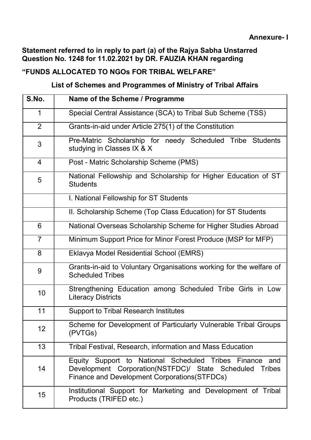## Statement referred to in reply to part (a) of the Rajya Sabha Unstarred Question No. 1248 for 11.02.2021 by DR. FAUZIA KHAN regarding

## "FUNDS ALLOCATED TO NGOs FOR TRIBAL WELFARE"

## List of Schemes and Programmes of Ministry of Tribal Affairs

| S.No.          | Name of the Scheme / Programme                                                                                                                                                   |  |  |  |  |
|----------------|----------------------------------------------------------------------------------------------------------------------------------------------------------------------------------|--|--|--|--|
| $\mathbf 1$    | Special Central Assistance (SCA) to Tribal Sub Scheme (TSS)                                                                                                                      |  |  |  |  |
| 2              | Grants-in-aid under Article 275(1) of the Constitution                                                                                                                           |  |  |  |  |
| 3              | Pre-Matric Scholarship for needy Scheduled Tribe Students<br>studying in Classes IX & X                                                                                          |  |  |  |  |
| $\overline{4}$ | Post - Matric Scholarship Scheme (PMS)                                                                                                                                           |  |  |  |  |
| 5              | National Fellowship and Scholarship for Higher Education of ST<br><b>Students</b>                                                                                                |  |  |  |  |
|                | I. National Fellowship for ST Students                                                                                                                                           |  |  |  |  |
|                | II. Scholarship Scheme (Top Class Education) for ST Students                                                                                                                     |  |  |  |  |
| 6              | National Overseas Scholarship Scheme for Higher Studies Abroad                                                                                                                   |  |  |  |  |
| $\overline{7}$ | Minimum Support Price for Minor Forest Produce (MSP for MFP)                                                                                                                     |  |  |  |  |
| 8              | Eklavya Model Residential School (EMRS)                                                                                                                                          |  |  |  |  |
| 9              | Grants-in-aid to Voluntary Organisations working for the welfare of<br><b>Scheduled Tribes</b>                                                                                   |  |  |  |  |
| 10             | Strengthening Education among Scheduled Tribe Girls in Low<br><b>Literacy Districts</b>                                                                                          |  |  |  |  |
| 11             | <b>Support to Tribal Research Institutes</b>                                                                                                                                     |  |  |  |  |
| 12             | Scheme for Development of Particularly Vulnerable Tribal Groups<br>(PVTGs)                                                                                                       |  |  |  |  |
| 13             | Tribal Festival, Research, information and Mass Education                                                                                                                        |  |  |  |  |
| 14             | Equity Support to National Scheduled Tribes Finance<br>and<br>Development Corporation(NSTFDC)/ State Scheduled<br><b>Tribes</b><br>Finance and Development Corporations (STFDCs) |  |  |  |  |
| 15             | Institutional Support for Marketing and Development of Tribal<br>Products (TRIFED etc.)                                                                                          |  |  |  |  |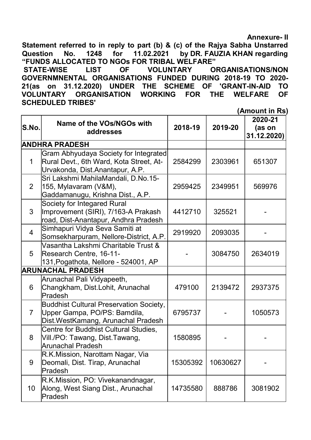Annexure- II

Statement referred to in reply to part (b) & (c) of the Rajya Sabha Unstarred Question No. 1248 for 11.02.2021 by DR. FAUZIA KHAN regarding "FUNDS ALLOCATED TO NGOs FOR TRIBAL WELFARE" STATE-WISE LIST OF VOLUNTARY ORGANISATIONS/NON GOVERNMNENTAL ORGANISATIONS FUNDED DURING 2018-19 TO 2020- 21(as on 31.12.2020) UNDER THE SCHEME OF 'GRANT-IN-AID TO VOLUNTARY ORGANISATION WORKING FOR THE WELFARE OF SCHEDULED TRIBES'

(Amount in Rs)

|                 |                                                                                                                      |          |          | 2020-21               |
|-----------------|----------------------------------------------------------------------------------------------------------------------|----------|----------|-----------------------|
| S.No.           | <b>Name of the VOs/NGOs with</b><br>addresses                                                                        | 2018-19  | 2019-20  | (as on<br>31.12.2020) |
|                 | <b>ANDHRA PRADESH</b>                                                                                                |          |          |                       |
|                 | Gram Abhyudaya Society for Integrated<br>Rural Devt., 6th Ward, Kota Street, At-<br>Urvakonda, Dist.Anantapur, A.P.  | 2584299  | 2303961  | 651307                |
| $\overline{2}$  | Sri Lakshmi MahilaMandali, D.No.15-<br>155, Mylavaram (V&M),<br>Gaddamanugu, Krishna Dist., A.P.                     | 2959425  | 2349951  | 569976                |
| 3               | Society for Integared Rural<br>Improvement (SIRI), 7/163-A Prakash<br>road, Dist-Anantapur, Andhra Pradesh           | 4412710  | 325521   |                       |
| 4               | Simhapuri Vidya Seva Samiti at<br>Somsekharpuram, Nellore-District, A.P.                                             | 2919920  | 2093035  |                       |
| 5               | Vasantha Lakshmi Charitable Trust &<br>Research Centre, 16-11-<br>131, Pogathota, Nellore - 524001, AP               |          | 3084750  | 2634019               |
|                 | <b>ARUNACHAL PRADESH</b>                                                                                             |          |          |                       |
| 6               | Arunachal Pali Vidyapeeth,<br>Changkham, Dist.Lohit, Arunachal<br>Pradesh                                            | 479100   | 2139472  | 2937375               |
| $\overline{7}$  | <b>Buddhist Cultural Preservation Society,</b><br>Upper Gampa, PO/PS: Bamdila,<br>Dist.WestKamang, Arunachal Pradesh | 6795737  |          | 1050573               |
| 8               | Centre for Buddhist Cultural Studies,<br>Vill./PO: Tawang, Dist.Tawang,<br>Arunachal Pradesh                         | 1580895  |          |                       |
| 9               | R.K.Mission, Narottam Nagar, Via<br>Deomali, Dist. Tirap, Arunachal<br>Pradesh                                       | 15305392 | 10630627 |                       |
| 10 <sup>°</sup> | R.K.Mission, PO: Vivekanandnagar,<br>Along, West Siang Dist., Arunachal<br>Pradesh                                   | 14735580 | 888786   | 3081902               |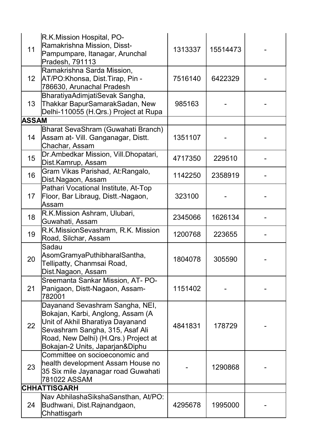| 11               | R.K.Mission Hospital, PO-<br>Ramakrishna Mission, Disst-<br>Pampumpare, Itanagar, Arunchal<br>Pradesh, 791113                                                                                                          | 1313337 | 15514473 |  |
|------------------|------------------------------------------------------------------------------------------------------------------------------------------------------------------------------------------------------------------------|---------|----------|--|
| 12 <sup>2</sup>  | Ramakrishna Sarda Mission,<br>AT/PO: Khonsa, Dist. Tirap, Pin -<br>786630, Arunachal Pradesh                                                                                                                           | 7516140 | 6422329  |  |
| 13 <sup>°</sup>  | BharatiyaAdimjatiSevak Sangha,<br>Thakkar BapurSamarakSadan, New<br>Delhi-110055 (H.Qrs.) Project at Rupa                                                                                                              | 985163  |          |  |
| <b>ASSAM</b>     |                                                                                                                                                                                                                        |         |          |  |
| 14               | Bharat SevaShram (Guwahati Branch)<br>Assam at- Vill. Ganganagar, Distt.<br>Chachar, Assam                                                                                                                             | 1351107 |          |  |
| 15 <sub>15</sub> | Dr.Ambedkar Mission, Vill.Dhopatari,<br>Dist.Kamrup, Assam                                                                                                                                                             | 4717350 | 229510   |  |
| 16               | Gram Vikas Parishad, At:Rangalo,<br>Dist.Nagaon, Assam                                                                                                                                                                 | 1142250 | 2358919  |  |
| 17 <sup>2</sup>  | Pathari Vocational Institute, At-Top<br>Floor, Bar Libraug, Distt.-Nagaon,<br>lAssam                                                                                                                                   | 323100  |          |  |
| 18               | R.K.Mission Ashram, Ulubari,<br>Guwahati, Assam                                                                                                                                                                        | 2345066 | 1626134  |  |
| 19               | R.K.MissionSevashram, R.K. Mission<br>Road, Silchar, Assam                                                                                                                                                             | 1200768 | 223655   |  |
| 20               | lSadau<br>AsomGramyaPuthibharalSantha,<br>Tellipatty, Chanmsai Road,<br>Dist.Nagaon, Assam                                                                                                                             | 1804078 | 305590   |  |
| 21               | Sreemanta Sankar Mission, AT- PO-<br>Panigaon, Distt-Nagaon, Assam-<br> 782001                                                                                                                                         | 1151402 |          |  |
| 22               | Dayanand Sevashram Sangha, NEI,<br>Bokajan, Karbi, Anglong, Assam (A<br>Unit of Akhil Bharatiya Dayanand<br>Sevashram Sangha, 315, Asaf Ali<br>Road, New Delhi) (H.Qrs.) Project at<br>Bokajan-2 Units, Japarjan&Diphu | 4841831 | 178729   |  |
| 23               | Committee on socioeconomic and<br>health development Assam House no<br>35 Six mile Jayanagar road Guwahati<br>781022 ASSAM                                                                                             |         | 1290868  |  |
|                  | <b>CHHATTISGARH</b>                                                                                                                                                                                                    |         |          |  |
| 24               | Nav AbhilashaSikshaSansthan, At/PO:<br>Budhwani, Dist.Rajnandgaon,<br>Chhattisgarh                                                                                                                                     | 4295678 | 1995000  |  |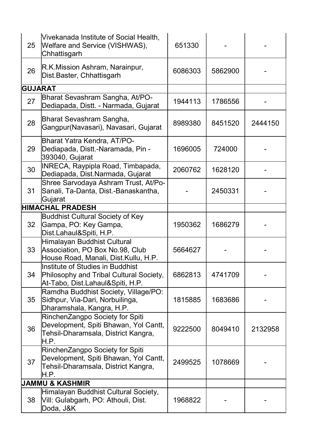| 25             | Vivekanada Institute of Social Health,<br>Welfare and Service (VISHWAS),<br>Chhattisgarh                                | 651330  |         |         |
|----------------|-------------------------------------------------------------------------------------------------------------------------|---------|---------|---------|
| 26             | R.K.Mission Ashram, Narainpur,<br>Dist.Baster, Chhattisgarh                                                             | 6086303 | 5862900 |         |
| <b>GUJARAT</b> |                                                                                                                         |         |         |         |
| 27             | Bharat Sevashram Sangha, At/PO-<br>Dediapada, Distt. - Narmada, Gujarat                                                 | 1944113 | 1786556 |         |
| 28             | Bharat Sevashram Sangha,<br>Gangpur(Navasari), Navasari, Gujarat                                                        | 8989380 | 8451520 | 2444150 |
| 29             | <b>Bharat Yatra Kendra, AT/PO-</b><br>Dediapada, Distt.-Naramada, Pin -<br>393040, Gujarat                              | 1696005 | 724000  |         |
| 30             | INRECA, Raypipla Road, Timbapada,<br>Dediapada, Dist.Narmada, Gujarat                                                   | 2060762 | 1628120 |         |
| 31             | Shree Sarvodaya Ashram Trust, At/Po-<br>Sanali, Ta-Danta, Dist.-Banaskantha,<br>Gujarat                                 |         | 2450331 |         |
|                | <b>HIMACHAL PRADESH</b>                                                                                                 |         |         |         |
| 32             | <b>Buddhist Cultural Society of Key</b><br>Gampa, PO: Key Gampa,<br>Dist.Lahaul&Spiti, H.P.                             | 1950362 | 1686279 |         |
| 33             | Himalayan Buddhist Cultural<br>Association, PO Box No.98, Club<br>House Road, Manali, Dist.Kullu, H.P.                  | 5664627 |         |         |
| 34             | Institute of Studies in Buddhist<br>Philosophy and Tribal Cultural Society,<br>At-Tabo, Dist.Lahaul&Spiti, H.P.         | 6862813 | 4741709 |         |
| 35             | Ramdha Buddhist Society, Village/PO:<br>Sidhpur, Via-Dari, Norbuilinga,<br>Dharamshala, Kangra, H.P.                    | 1815885 | 1683686 |         |
| 36             | RinchenZangpo Society for Spiti<br>Development, Spiti Bhawan, Yol Cantt,<br>Tehsil-Dharamsala, District Kangra,<br>H.P. | 9222500 | 8049410 | 2132958 |
| 37             | RinchenZangpo Society for Spiti<br>Development, Spiti Bhawan, Yol Cantt,<br>Tehsil-Dharamsala, District Kangra,<br>H.P. | 2499525 | 1078669 |         |
|                | <b>JAMMU &amp; KASHMIR</b>                                                                                              |         |         |         |
| 38             | Himalayan Buddhist Cultural Society,<br>Vill: Gulabgarh, PO: Athouli, Dist.<br>Doda, J&K                                | 1968822 |         |         |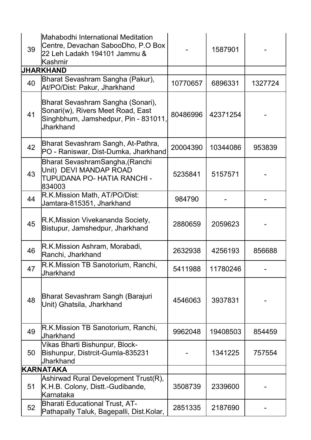| 39 | Mahabodhi International Meditation<br>Centre, Devachan SabooDho, P.O Box<br>22 Leh Ladakh 194101 Jammu &<br>lKashmir               |          | 1587901  |         |
|----|------------------------------------------------------------------------------------------------------------------------------------|----------|----------|---------|
|    | <b>JHARKHAND</b>                                                                                                                   |          |          |         |
| 40 | Bharat Sevashram Sangha (Pakur),<br>At/PO/Dist: Pakur, Jharkhand                                                                   | 10770657 | 6896331  | 1327724 |
| 41 | Bharat Sevashram Sangha (Sonari),<br>Sonari(w), Rivers Meet Road, East<br>Singhbhum, Jamshedpur, Pin - 831011,<br><b>Jharkhand</b> | 80486996 | 42371254 |         |
| 42 | Bharat Sevashram Sangh, At-Pathra,<br>PO - Raniswar, Dist-Dumka, Jharkhand                                                         | 20004390 | 10344086 | 953839  |
| 43 | Bharat SevashramSangha,(Ranchi<br>Unit) DEVI MANDAP ROAD<br>TUPUDANA PO- HATIA RANCHI -<br>834003                                  | 5235841  | 5157571  |         |
| 44 | R.K.Mission Math, AT/PO/Dist:<br>Jamtara-815351, Jharkhand                                                                         | 984790   |          |         |
| 45 | R.K, Mission Vivekananda Society,<br>Bistupur, Jamshedpur, Jharkhand                                                               | 2880659  | 2059623  |         |
| 46 | R.K. Mission Ashram, Morabadi,<br>Ranchi, Jharkhand                                                                                | 2632938  | 4256193  | 856688  |
| 47 | R.K.Mission TB Sanotorium, Ranchi,<br>Jharkhand                                                                                    | 5411988  | 11780246 |         |
| 48 | Bharat Sevashram Sangh (Barajuri<br>Unit) Ghatsila, Jharkhand                                                                      | 4546063  | 3937831  |         |
| 49 | R.K.Mission TB Sanotorium, Ranchi,<br>Jharkhand                                                                                    | 9962048  | 19408503 | 854459  |
| 50 | Vikas Bharti Bishunpur, Block-<br>Bishunpur, Distrcit-Gumla-835231<br>Jharkhand                                                    |          | 1341225  | 757554  |
|    | <b>KARNATAKA</b>                                                                                                                   |          |          |         |
| 51 | Ashirwad Rural Development Trust(R),<br>K.H.B. Colony, Distt.-Gudibande,<br>lKarnataka                                             | 3508739  | 2339600  |         |
| 52 | <b>Bharati Educational Trust, AT-</b><br>Pathapally Taluk, Bagepalli, Dist.Kolar,                                                  | 2851335  | 2187690  |         |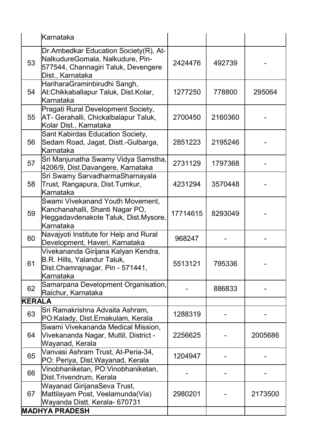|        | lKarnataka                                                                                                                           |          |         |         |
|--------|--------------------------------------------------------------------------------------------------------------------------------------|----------|---------|---------|
| 53     | Dr.Ambedkar Education Society(R), At-<br>NalkudureGomala, Nalkudure, Pin-<br>577544, Channagiri Taluk, Devengere<br>Dist., Karnataka | 2424476  | 492739  |         |
| 54     | HariharaGraminbirudhi Sangh,<br>At:Chikkaballapur Taluk, Dist.Kolar,<br>lKarnataka                                                   | 1277250  | 778800  | 295064  |
| 55     | Pragati Rural Development Society,<br><b>AT- Gerahalli, Chickalbalapur Taluk,</b><br>Kolar Dist., Karnataka                          | 2700450  | 2160360 |         |
| 56     | Sant Kabirdas Education Society,<br>Sedam Road, Jagat, Distt.-Gulbarga,<br>lKarnataka                                                | 2851223  | 2195246 |         |
| 57     | Sri Manjunatha Swamy Vidya Samstha,<br>4206/9, Dist.Davangere, Karnataka                                                             | 2731129  | 1797368 |         |
| 58     | Sri Swamy SarvadharmaSharnayala<br>Trust, Rangapura, Dist.Tumkur,<br>lKarnataka                                                      | 4231294  | 3570448 |         |
| 59     | Swami Vivekanand Youth Movement,<br>Kanchanahalli, Shanti Nagar PO,<br>Heggadavdenakote Taluk, Dist.Mysore,<br>lKarnataka            | 17714615 | 8293049 |         |
| 60     | Navajyoti Institute for Help and Rural<br>Development, Haveri, Karnataka                                                             | 968247   |         |         |
| 61     | Vivekananda Girijana Kalyan Kendra,<br>B.R. Hills, Yalandur Taluk,<br> Dist.Chamrajnagar, Pin - 571441,<br>Karnataka                 | 5513121  | 795336  |         |
| 62     | Samarpana Development Organisation,<br>Raichur, Karnataka                                                                            |          | 886833  |         |
| KERALA |                                                                                                                                      |          |         |         |
| 63     | Sri Ramakrishna Advaita Ashram,<br>PO:Kalady, Dist.Ernakulam, Kerala                                                                 | 1288319  |         |         |
| 64     | Swami Vivekananda Medical Mission,<br>Vivekananda Nagar, Muttil, District -<br>Wayanad, Kerala                                       | 2256625  |         | 2005686 |
| 65     | Vanvasi Ashram Trust, At-Peria-34,<br>PO: Periya, Dist.Wayanad, Kerala                                                               | 1204947  |         |         |
| 66     | Vinobhaniketan, PO:Vinobhaniketan,<br>Dist.Trivendrum, Kerala                                                                        |          |         |         |
| 67     | Wayanad GirijanaSeva Trust,<br>Mattilayam Post, Veelamunda(Via)<br>Wayanda Distt. Kerala- 670731                                     | 2980201  |         | 2173500 |
|        | <b>MADHYA PRADESH</b>                                                                                                                |          |         |         |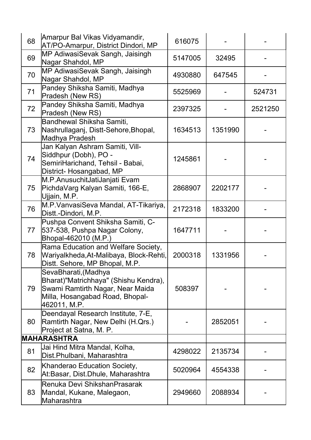| 68 | Amarpur Bal Vikas Vidyamandir,<br>AT/PO-Amarpur, District Dindori, MP                                                                               | 616075  |         |         |
|----|-----------------------------------------------------------------------------------------------------------------------------------------------------|---------|---------|---------|
| 69 | MP AdiwasiSevak Sangh, Jaisingh<br>Nagar Shahdol, MP                                                                                                | 5147005 | 32495   |         |
| 70 | MP AdiwasiSevak Sangh, Jaisingh<br>Nagar Shahdol, MP                                                                                                | 4930880 | 647545  |         |
| 71 | Pandey Shiksha Samiti, Madhya<br>Pradesh (New RS)                                                                                                   | 5525969 |         | 524731  |
| 72 | Pandey Shiksha Samiti, Madhya<br>Pradesh (New RS)                                                                                                   | 2397325 |         | 2521250 |
| 73 | Bandhewal Shiksha Samiti,<br>Nashrullaganj, Distt-Sehore, Bhopal,<br>Madhya Pradesh                                                                 | 1634513 | 1351990 |         |
| 74 | Jan Kalyan Ashram Samiti, Vill-<br>Siddhpur (Dobh), PO -<br>SemiriHarichand, Tehsil - Babai,<br>District- Hosangabad, MP                            | 1245861 |         |         |
| 75 | M.P.AnusuchitJatiJanjati Evam<br>PichdaVarg Kalyan Samiti, 166-E,<br>Ujjain, M.P.                                                                   | 2868907 | 2202177 |         |
| 76 | M.P.VanvasiSeva Mandal, AT-Tikariya,<br>Distt.-Dindori, M.P.                                                                                        | 2172318 | 1833200 |         |
| 77 | Pushpa Convent Shiksha Samiti, C-<br>537-538, Pushpa Nagar Colony,<br>Bhopal-462010 (M.P.)                                                          | 1647711 |         |         |
| 78 | Rama Education and Welfare Society,<br>Wariyalkheda,At-Malibaya, Block-Rehti,<br>Distt. Sehore, MP Bhopal, M.P.                                     | 2000318 | 1331956 |         |
| 79 | SevaBharati,(Madhya<br>Bharat)"Matrichhaya" (Shishu Kendra),<br>Swami Ramtirth Nagar, Near Maida<br>Milla, Hosangabad Road, Bhopal-<br>462011, M.P. | 508397  |         |         |
| 80 | Deendayal Research Institute, 7-E,<br>Ramtirth Nagar, New Delhi (H.Qrs.)<br>Project at Satna, M. P.                                                 |         | 2852051 |         |
|    | <b>MAHARASHTRA</b>                                                                                                                                  |         |         |         |
| 81 | Jai Hind Mitra Mandal, Kolha,<br>Dist.Phulbani, Maharashtra                                                                                         | 4298022 | 2135734 |         |
| 82 | Khanderao Education Society,<br>At:Basar, Dist.Dhule, Maharashtra                                                                                   | 5020964 | 4554338 |         |
| 83 | Renuka Devi ShikshanPrasarak<br>Mandal, Kukane, Malegaon,<br>Maharashtra                                                                            | 2949660 | 2088934 |         |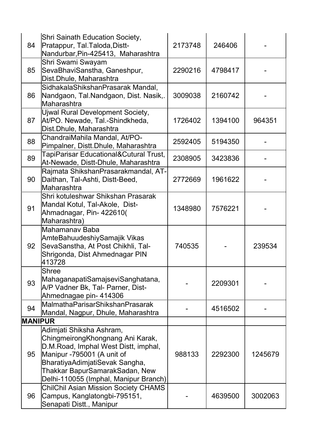| 84             | Shri Sainath Education Society,<br>Pratappur, Tal.Taloda,Distt-<br>Nandurbar, Pin-425413, Maharashtra                                                                                                                                           | 2173748 | 246406  |         |
|----------------|-------------------------------------------------------------------------------------------------------------------------------------------------------------------------------------------------------------------------------------------------|---------|---------|---------|
| 85             | Shri Swami Swayam<br>SevaBhaviSanstha, Ganeshpur,<br>Dist.Dhule, Maharashtra                                                                                                                                                                    | 2290216 | 4798417 |         |
| 86             | SidhakalaShikshanPrasarak Mandal,<br>Nandgaon, Tal.Nandgaon, Dist. Nasik,.<br>Maharashtra                                                                                                                                                       | 3009038 | 2160742 |         |
| 87             | Ujwal Rural Development Society,<br>At/PO. Newade, Tal.-Shindkheda,<br>Dist.Dhule, Maharashtra                                                                                                                                                  | 1726402 | 1394100 | 964351  |
| 88             | ChandraiMahila Mandal, At/PO-<br>Pimpalner, Distt.Dhule, Maharashtra                                                                                                                                                                            | 2592405 | 5194350 |         |
| 89             | <b>TapiParisar Educational&amp;Cutural Trust,</b><br>At-Newade, Distt-Dhule, Maharashtra                                                                                                                                                        | 2308905 | 3423836 |         |
| 90             | Rajmata ShikshanPrasarakmandal, AT-<br>Daithan, Tal-Ashti, Distt-Beed,<br>lMaharashtra                                                                                                                                                          | 2772669 | 1961622 |         |
| 91             | Shri kotuleshwar Shikshan Prasarak<br>Mandal Kotul, Tal-Akole, Dist-<br>Ahmadnagar, Pin- 422610(<br>Maharashtra)                                                                                                                                | 1348980 | 7576221 |         |
| 92             | lMahamanav Baba<br>AmteBahuudeshiySamajik Vikas<br>SevaSanstha, At Post Chikhli, Tal-<br>Shrigonda, Dist Ahmednagar PIN<br>413728                                                                                                               | 740535  |         | 239534  |
| 93             | Shree<br>MahaganapatiSamajseviSanghatana,<br>A/P Vadner Bk, Tal- Parner, Dist-<br>Ahmednagae pin- 414306                                                                                                                                        |         | 2209301 |         |
| 94             | MalmathaParisarShikshanPrasarak<br>Mandal, Nagpur, Dhule, Maharashtra                                                                                                                                                                           |         | 4516502 |         |
| <b>MANIPUR</b> |                                                                                                                                                                                                                                                 |         |         |         |
| 95             | Adimjati Shiksha Ashram,<br>ChingmeirongKhongnang Ani Karak,<br>D.M.Road, Imphal West Distt, imphal,<br>Manipur -795001 (A unit of<br>BharatiyaAdimjatiSevak Sangha,<br>Thakkar BapurSamarakSadan, New<br>Delhi-110055 (Imphal, Manipur Branch) | 988133  | 2292300 | 1245679 |
| 96             | <b>ChilChil Asian Mission Society CHAMS</b><br>Campus, Kanglatongbi-795151,<br>Senapati Distt., Manipur                                                                                                                                         |         | 4639500 | 3002063 |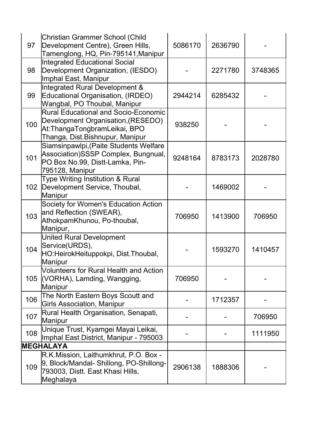| 97  | Christian Grammer School (Child<br>Development Centre), Green Hills,<br>Tamenglong, HQ, Pin-795141, Manipur                                          | 5086170 | 2636790 |         |
|-----|------------------------------------------------------------------------------------------------------------------------------------------------------|---------|---------|---------|
| 98  | Integrated Educational Social<br>Development Organization, (IESDO)<br>Imphal East, Manipur                                                           |         | 2271780 | 3748365 |
| 99  | Integrated Rural Development &<br>Educational Organisation, (IRDEO)<br>Wangbal, PO Thoubal, Manipur                                                  | 2944214 | 6285432 |         |
| 100 | <b>Rural Educational and Socio-Economic</b><br>Development Organisation, (RESEDO)<br>At:ThangaTongbramLeikai, BPO<br>Thanga, Dist.Bishnupur, Manipur | 938250  |         |         |
| 101 | Siamsinpawlpi, (Paite Students Welfare<br>Association) SSSP Complex, Bungnual,<br>PO Box No.99, Distt-Lamka, Pin-<br>795128, Manipur                 | 9248164 | 8783173 | 2028780 |
|     | Type Writing Institution & Rural<br>102 Development Service, Thoubal,<br>Manipur                                                                     |         | 1469002 |         |
| 103 | Society for Women's Education Action<br>and Reflection (SWEAR),<br>AthokpamKhunou, Po-thoubal,<br>Manipur,                                           | 706950  | 1413900 | 706950  |
| 104 | <b>United Rural Development</b><br>Service(URDS),<br>HO:HeirokHeituppokpi, Dist.Thoubal,<br>Manipur                                                  |         | 1593270 | 1410457 |
| 105 | Volunteers for Rural Health and Action<br>(VORHA), Lamding, Wangging,<br>Manipur                                                                     | 706950  |         |         |
| 106 | The North Eastern Boys Scoutt and<br><b>Girls Association, Manipur</b>                                                                               |         | 1712357 |         |
| 107 | Rural Health Organisation, Senapati,<br>Manipur                                                                                                      |         |         | 706950  |
| 108 | Unique Trust, Kyamgei Mayai Leikai,<br>Imphal East District, Manipur - 795003                                                                        |         |         | 1111950 |
|     | <b>MEGHALAYA</b>                                                                                                                                     |         |         |         |
| 109 | R.K.Mission, Laithumkhrut, P.O. Box -<br>9, Block/Mandal-Shillong, PO-Shillong-<br>793003, Distt. East Khasi Hills,<br>Meghalaya                     | 2906138 | 1888306 |         |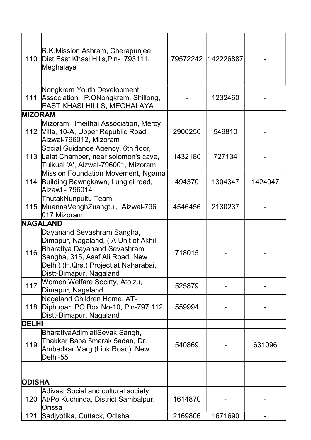| 110            | R.K.Mission Ashram, Cherapunjee,<br>Dist. East Khasi Hills, Pin- 793111,<br>Meghalaya                                                                                                                           | 79572242 | 142226887 |         |
|----------------|-----------------------------------------------------------------------------------------------------------------------------------------------------------------------------------------------------------------|----------|-----------|---------|
|                | Nongkrem Youth Development<br>111 Association, P.ONongkrem, Shillong,<br>EAST KHASI HILLS, MEGHALAYA                                                                                                            |          | 1232460   |         |
| <b>MIZORAM</b> |                                                                                                                                                                                                                 |          |           |         |
|                | Mizoram Hmeithai Association, Mercy<br>112 Villa, 10-A, Upper Republic Road,<br>Aizwal-796012, Mizoram                                                                                                          | 2900250  | 549810    |         |
|                | Social Guidance Agency, 6th floor,<br>113 Lalat Chamber, near solomon's cave,<br>Tuikual 'A', Aizwal-796001, Mizoram                                                                                            | 1432180  | 727134    |         |
| 114            | Mission Foundation Movement, Ngama<br>Building Bawngkawn, Lunglei road,<br>Aizawl - 796014                                                                                                                      | 494370   | 1304347   | 1424047 |
|                | ThutakNunpuitu Team,<br>115 MuannaVenghZuangtui, Aizwal-796<br>017 Mizoram                                                                                                                                      | 4546456  | 2130237   |         |
|                | <b>NAGALAND</b>                                                                                                                                                                                                 |          |           |         |
| 116            | Dayanand Sevashram Sangha,<br>Dimapur, Nagaland, (A Unit of Akhil<br><b>Bharatiya Dayanand Sevashram</b><br>Sangha, 315, Asaf Ali Road, New<br>Delhi) (H.Qrs.) Project at Naharabai,<br>Distt-Dimapur, Nagaland | 718015   |           |         |
| 117            | Women Welfare Socirty, Atoizu,<br>Dimapur, Nagaland                                                                                                                                                             | 525879   |           |         |
| 118            | Nagaland Children Home, AT-<br>Diphupar, PO Box No-10, Pin-797 112,<br>Distt-Dimapur, Nagaland                                                                                                                  | 559994   |           |         |
| <b>DELHI</b>   |                                                                                                                                                                                                                 |          |           |         |
| 119            | BharatiyaAdimjatiSevak Sangh,<br>Thakkar Bapa 5marak 5adan, Dr.<br>Ambedkar Marg (Link Road), New<br>Delhi-55                                                                                                   | 540869   |           | 631096  |
| <b>ODISHA</b>  |                                                                                                                                                                                                                 |          |           |         |
| 120            | Adivasi Social and cultural society<br>At/Po Kuchinda, District Sambalpur,<br>Orissa                                                                                                                            | 1614870  |           |         |
| 121            | Sadjyotika, Cuttack, Odisha                                                                                                                                                                                     | 2169806  | 1671690   |         |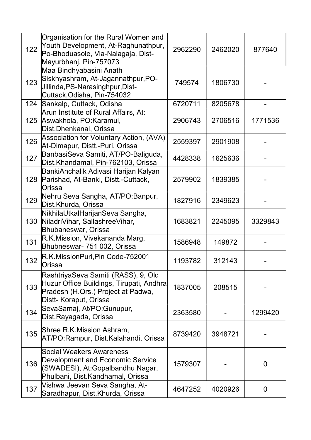| 122 | Organisation for the Rural Women and<br>Youth Development, At-Raghunathpur,<br>Po-Bhoduasole, Via-Nalagaja, Dist-<br>Mayurbhanj, Pin-757073     | 2962290 | 2462020 | 877640         |
|-----|-------------------------------------------------------------------------------------------------------------------------------------------------|---------|---------|----------------|
| 123 | Maa Bindhyabasini Anath<br>Siskhyashram, At-Jagannathpur, PO-<br>Jillinda, PS-Narasinghpur, Dist-<br>Cuttack, Odisha, Pin-754032                | 749574  | 1806730 |                |
| 124 | Sankalp, Cuttack, Odisha                                                                                                                        | 6720711 | 8205678 |                |
| 125 | Arun Institute of Rural Affairs, At:<br>Aswakhola, PO:Karamul,<br>Dist.Dhenkanal, Orissa                                                        | 2906743 | 2706516 | 1771536        |
| 126 | Association for Voluntary Action, (AVA)<br>At-Dimapur, Distt.-Puri, Orissa                                                                      | 2559397 | 2901908 |                |
| 127 | BanbasiSeva Samiti, AT/PO-Baliguda,<br>Dist.Khandamal, Pin-762103, Orissa                                                                       | 4428338 | 1625636 |                |
| 128 | BankiAnchalik Adivasi Harijan Kalyan<br>Parishad, At-Banki, Distt.-Cuttack,<br>lOrissa                                                          | 2579902 | 1839385 |                |
| 129 | Nehru Seva Sangha, AT/PO:Banpur,<br>Dist.Khurda, Orissa                                                                                         | 1827916 | 2349623 |                |
| 130 | NikhilaUtkalHarijanSeva Sangha,<br>NiladriVihar, SallashreeVihar,<br>Bhubaneswar, Orissa                                                        | 1683821 | 2245095 | 3329843        |
| 131 | R.K.Mission, Vivekananda Marg,<br>Bhubneswar- 751 002, Orissa                                                                                   | 1586948 | 149872  |                |
| 132 | R.K.MissionPuri,Pin Code-752001<br>lOrissa                                                                                                      | 1193782 | 312143  |                |
| 133 | RashtriyaSeva Samiti (RASS), 9, Old<br>Huzur Office Buildings, Tirupati, Andhra<br>Pradesh (H.Qrs.) Project at Padwa,<br>Distt- Koraput, Orissa | 1837005 | 208515  |                |
| 134 | SevaSamaj, At/PO:Gunupur,<br>Dist.Rayagada, Orissa                                                                                              | 2363580 |         | 1299420        |
| 135 | Shree R.K.Mission Ashram,<br>AT/PO:Rampur, Dist.Kalahandi, Orissa                                                                               | 8739420 | 3948721 |                |
| 136 | <b>Social Weakers Awareness</b><br>Development and Economic Service<br>(SWADESI), At:Gopalbandhu Nagar,<br>Phulbani, Dist.Kandhamal, Orissa     | 1579307 |         | 0              |
| 137 | Vishwa Jeevan Seva Sangha, At-<br>Saradhapur, Dist.Khurda, Orissa                                                                               | 4647252 | 4020926 | $\overline{0}$ |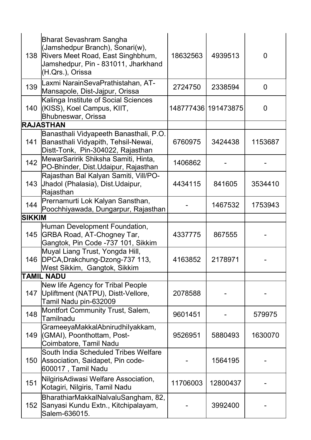| 138           | <b>Bharat Sevashram Sangha</b><br>(Jamshedpur Branch), Sonari(w),<br>Rivers Meet Road, East Singhbhum,<br>Jamshedpur, Pin - 831011, Jharkhand<br>(H.Qrs.), Orissa | 18632563 | 4939513             | 0       |
|---------------|-------------------------------------------------------------------------------------------------------------------------------------------------------------------|----------|---------------------|---------|
| 139           | Laxmi NarainSevaPrathistahan, AT-<br>Mansapole, Dist-Jajpur, Orissa                                                                                               | 2724750  | 2338594             | 0       |
| 140           | Kalinga Institute of Social Sciences<br>KISS), Koel Campus, KIIT,<br>Bhubneswar, Orissa                                                                           |          | 148777436 191473875 | 0       |
|               | <b>RAJASTHAN</b>                                                                                                                                                  |          |                     |         |
| 141           | Banasthali Vidyapeeth Banasthali, P.O.<br>Banasthali Vidyapith, Tehsil-Newai,<br>Distt-Tonk, Pin-304022, Rajasthan                                                | 6760975  | 3424438             | 1153687 |
| 142           | MewarSaririk Shiksha Samiti, Hinta,<br>PO-Bhinder, Dist.Udaipur, Rajasthan                                                                                        | 1406862  |                     |         |
| 143           | Rajasthan Bal Kalyan Samiti, Vill/PO-<br>Jhadol (Phalasia), Dist. Udaipur,<br>Rajasthan                                                                           | 4434115  | 841605              | 3534410 |
| 144           | Prernamurti Lok Kalyan Sansthan,<br>Poochhiyawada, Dungarpur, Rajasthan                                                                                           |          | 1467532             | 1753943 |
| <b>SIKKIM</b> |                                                                                                                                                                   |          |                     |         |
| 145           | Human Development Foundation,<br>GRBA Road, AT-Chogney Tar,<br>Gangtok, Pin Code -737 101, Sikkim                                                                 | 4337775  | 867555              |         |
|               | Muyal Liang Trust, Yongda Hill,<br>146   DPCA, Drakchung-Dzong-737 113,<br>West Sikkim, Gangtok, Sikkim                                                           | 4163852  | 2178971             |         |
|               | <b>TAMIL NADU</b>                                                                                                                                                 |          |                     |         |
| 147           | New life Agency for Tribal People<br>Upliftment (NATPU), Distt-Vellore,<br>Tamil Nadu pin-632009                                                                  | 2078588  |                     |         |
| 148           | Montfort Community Trust, Salem,<br>Tamilnadu                                                                                                                     | 9601451  |                     | 579975  |
| 149           | GrameeyaMakkalAbnirudhilyakkam,<br>(GMAI), Poonthottam, Post-<br>Coimbatore, Tamil Nadu                                                                           | 9526951  | 5880493             | 1630070 |
| 150           | South India Scheduled Tribes Welfare<br>Association, Saidapet, Pin code-<br>600017 , Tamil Nadu                                                                   |          | 1564195             |         |
| 151           | NilgirisAdiwasi Welfare Association,<br>Kotagiri, Nilgiris, Tamil Nadu                                                                                            | 11706003 | 12800437            |         |
| 152           | BharathiarMakkalNalvaluSangham, 82,<br>Sanyasi Kundu Extn., Kitchipalayam,<br>Salem-636015.                                                                       |          | 3992400             |         |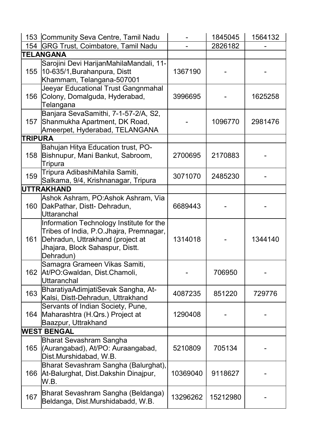|                | 153 Community Seva Centre, Tamil Nadu                                                                                                                                   |          | 1845045  | 1564132 |
|----------------|-------------------------------------------------------------------------------------------------------------------------------------------------------------------------|----------|----------|---------|
|                | 154 GRG Trust, Coimbatore, Tamil Nadu                                                                                                                                   |          | 2826182  |         |
|                | <b>TELANGANA</b>                                                                                                                                                        |          |          |         |
| 155            | Sarojini Devi HarijanMahilaMandali, 11-<br>10-635/1, Burahanpura, Distt<br>Khammam, Telangana-507001                                                                    | 1367190  |          |         |
|                | Jeeyar Educational Trust Gangnmahal<br>156 Colony, Domalguda, Hyderabad,<br>Telangana                                                                                   | 3996695  |          | 1625258 |
| 157            | Banjara SevaSamithi, 7-1-57-2/A, S2,<br>Shanmukha Apartment, DK Road,<br>Ameerpet, Hyderabad, TELANGANA                                                                 |          | 1096770  | 2981476 |
| <b>TRIPURA</b> |                                                                                                                                                                         |          |          |         |
| 158            | Bahujan Hitya Education trust, PO-<br>Bishnupur, Mani Bankut, Sabroom,<br><b>Tripura</b>                                                                                | 2700695  | 2170883  |         |
| 159            | Tripura AdibashiMahila Samiti,<br>Salkama, 9/4, Krishnanagar, Tripura                                                                                                   | 3071070  | 2485230  |         |
|                | <b>UTTRAKHAND</b>                                                                                                                                                       |          |          |         |
| 160            | Ashok Ashram, PO:Ashok Ashram, Via<br>DakPathar, Distt-Dehradun,<br>lUttaranchal                                                                                        | 6689443  |          |         |
| 161            | Information Technology Institute for the<br>Tribes of India, P.O.Jhajra, Premnagar,<br>Dehradun, Uttrakhand (project at<br>Jhajara, Block Sahaspur, Distt.<br>Dehradun) | 1314018  |          | 1344140 |
|                | Samagra Grameen Vikas Samiti,<br>162 At/PO: Gwaldan, Dist. Chamoli,<br>lUttaranchal                                                                                     |          | 706950   |         |
| 163            | BharatiyaAdimjatiSevak Sangha, At-<br>Kalsi, Distt-Dehradun, Uttrakhand                                                                                                 | 4087235  | 851220   | 729776  |
| 164            | Servants of Indian Society, Pune,<br>Maharashtra (H.Qrs.) Project at<br>Baazpur, Uttrakhand                                                                             | 1290408  |          |         |
|                | <b>WEST BENGAL</b>                                                                                                                                                      |          |          |         |
|                | Bharat Sevashram Sangha<br>165 (Aurangabad), At/PO: Auraangabad,<br>Dist.Murshidabad, W.B.                                                                              | 5210809  | 705134   |         |
| 166            | Bharat Sevashram Sangha (Balurghat),<br>At-Balurghat, Dist.Dakshin Dinajpur,<br>W.B.                                                                                    | 10369040 | 9118627  |         |
| 167            | Bharat Sevashram Sangha (Beldanga)<br>Beldanga, Dist.Murshidabadd, W.B.                                                                                                 | 13296262 | 15212980 |         |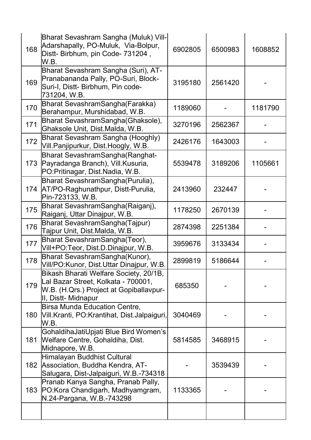| 168 | Bharat Sevashram Sangha (Muluk) Vill-<br>Adarshapally, PO-Muluk, Via-Bolpur,<br>Distt- Birbhum, pin Code- 731204,<br>W.B.                       | 6902805 | 6500983 | 1608852 |
|-----|-------------------------------------------------------------------------------------------------------------------------------------------------|---------|---------|---------|
| 169 | Bharat Sevashram Sangha (Suri), AT-<br>Pranabananda Pally, PO-Suri, Block-<br>Suri-I, Distt- Birbhum, Pin code-<br>731204, W.B.                 | 3195180 | 2561420 |         |
| 170 | Bharat SevashramSangha(Farakka)<br>Berahampur, Murshidabad, W.B.                                                                                | 1189060 |         | 1181790 |
| 171 | Bharat SevashramSangha(Ghaksole),<br>Ghaksole Unit, Dist.Malda, W.B.                                                                            | 3270196 | 2562367 |         |
| 172 | Bharat Sevashram Sangha (Hooghly)<br>Vill.Panjipurkur, Dist.Hoogly, W.B.                                                                        | 2426176 | 1643003 |         |
| 173 | Bharat SevashramSangha(Ranghat-<br>Payradanga Branch), Vill.Kusuria,<br>PO:Pritinagar, Dist.Nadia, W.B.                                         | 5539478 | 3189206 | 1105661 |
| 174 | Bharat SevashramSangha(Purulia),<br>AT/PO-Raghunathpur, Distt-Purulia,<br>Pin-723133, W.B.                                                      | 2413960 | 232447  |         |
| 175 | Bharat SevashramSangha(Raiganj),<br>Raiganj, Uttar Dinajpur, W.B.                                                                               | 1178250 | 2670139 |         |
| 176 | Bharat SevashramSangha(Tajpur)<br>Tajpur Unit, Dist.Malda, W.B.                                                                                 | 2874398 | 2251384 |         |
| 177 | Bharat SevashramSangha(Teor),<br>Vill+PO:Teor, Dist.D.Dinajpur, W.B.                                                                            | 3959676 | 3133434 |         |
| 178 | Bharat SevashramSangha(Kunor),<br>Vill/PO:Kunor, Dist.Uttar Dinajpur, W.B.                                                                      | 2899819 | 5186644 |         |
| 179 | Bikash Bharati Welfare Society, 20/1B,<br>Lal Bazar Street, Kolkata - 700001,<br>W.B. (H.Qrs.) Project at Gopiballavpur-<br>II, Distt- Midnapur | 685350  |         |         |
| 180 | <b>Birsa Munda Education Centre,</b><br>Vill.Kranti, PO:Krantihat, Dist.Jalpaiguri,<br>W.B.                                                     | 3040469 |         |         |
| 181 | GohaldihaJatiUpjati Blue Bird Women's<br>Welfare Centre, Gohaldiha, Dist.<br>Midnapore, W.B.                                                    | 5814585 | 3468915 |         |
| 182 | Himalayan Buddhist Cultural<br>Association, Buddha Kendra, AT-<br>Salugara, Dist-Jalpaiguri, W.B.-734318                                        |         | 3539439 |         |
| 183 | Pranab Kanya Sangha, Pranab Pally,<br>PO: Kora Chandigarh, Madhyamgram,<br>N.24-Pargana, W.B.-743298                                            | 1133365 |         |         |
|     |                                                                                                                                                 |         |         |         |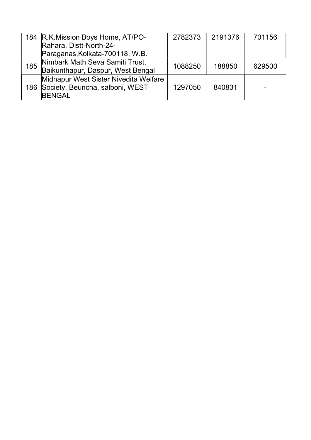|     | 184 R.K. Mission Boys Home, AT/PO-<br>Rahara, Distt-North-24-                                  | 2782373 | 2191376 | 701156 |
|-----|------------------------------------------------------------------------------------------------|---------|---------|--------|
|     | Paraganas, Kolkata-700118, W.B.                                                                |         |         |        |
| 185 | Nimbark Math Seva Samiti Trust,<br>Baikunthapur, Daspur, West Bengal                           | 1088250 | 188850  | 629500 |
|     | Midnapur West Sister Nivedita Welfare<br>186 Society, Beuncha, salboni, WEST<br><b>IBENGAL</b> | 1297050 | 840831  |        |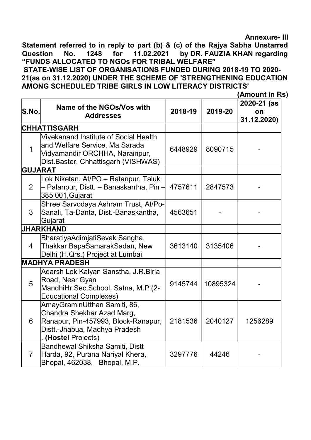Annexure- III

Statement referred to in reply to part (b) & (c) of the Rajya Sabha Unstarred Question No. 1248 for 11.02.2021 by DR. FAUZIA KHAN regarding "FUNDS ALLOCATED TO NGOs FOR TRIBAL WELFARE"

STATE-WISE LIST OF ORGANISATIONS FUNDED DURING 2018-19 TO 2020- 21(as on 31.12.2020) UNDER THE SCHEME OF 'STRENGTHENING EDUCATION AMONG SCHEDULED TRIBE GIRLS IN LOW LITERACY DISTRICTS'

(Amount in Rs)

| lS.No.         | Name of the NGOs/Vos with<br><b>Addresses</b>                                                                                                           | 2018-19 | 2019-20  | 2020-21 (as<br>on<br>31.12.2020) |
|----------------|---------------------------------------------------------------------------------------------------------------------------------------------------------|---------|----------|----------------------------------|
|                | <b>CHHATTISGARH</b>                                                                                                                                     |         |          |                                  |
| $\mathbf 1$    | Vivekanand Institute of Social Health<br>and Welfare Service, Ma Sarada<br>Vidyamandir ORCHHA, Narainpur,<br>Dist.Baster, Chhattisgarh (VISHWAS)        | 6448929 | 8090715  |                                  |
| <b>GUJARAT</b> |                                                                                                                                                         |         |          |                                  |
| $\overline{2}$ | Lok Niketan, At/PO - Ratanpur, Taluk<br>- Palanpur, Distt. – Banaskantha, Pin -<br>385 001, Gujarat                                                     | 4757611 | 2847573  |                                  |
| 3              | Shree Sarvodaya Ashram Trust, At/Po-<br>Sanali, Ta-Danta, Dist.-Banaskantha,<br>Gujarat                                                                 | 4563651 |          |                                  |
|                | <b>JHARKHAND</b>                                                                                                                                        |         |          |                                  |
| $\overline{4}$ | BharatiyaAdimjatiSevak Sangha,<br>Thakkar BapaSamarakSadan, New<br>Delhi (H.Qrs.) Project at Lumbai                                                     | 3613140 | 3135406  |                                  |
|                | <b>MADHYA PRADESH</b>                                                                                                                                   |         |          |                                  |
| 5              | Adarsh Lok Kalyan Sanstha, J.R.Birla<br>Road, Near Gyan<br>MandhiHr.Sec.School, Satna, M.P.(2-<br><b>Educational Complexes)</b>                         | 9145744 | 10895324 |                                  |
| 6              | AmayGraminUtthan Samiti, 86,<br>Chandra Shekhar Azad Marg,<br>Ranapur, Pin-457993, Block-Ranapur,<br>Distt.-Jhabua, Madhya Pradesh<br>(Hostel Projects) | 2181536 | 2040127  | 1256289                          |
| $\overline{7}$ | Bandhewal Shiksha Samiti, Distt<br>Harda, 92, Purana Nariyal Khera,<br>Bhopal, 462038, Bhopal, M.P.                                                     | 3297776 | 44246    |                                  |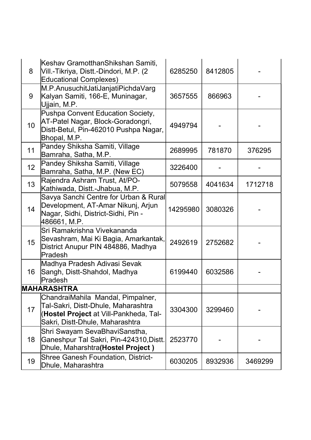| 8                | Keshav GramotthanShikshan Samiti,<br>Vill.-Tikriya, Distt.-Dindori, M.P. (2<br><b>Educational Complexes)</b>                                          | 6285250  | 8412805 |         |
|------------------|-------------------------------------------------------------------------------------------------------------------------------------------------------|----------|---------|---------|
| 9                | M.P.AnusuchitJatiJanjatiPichdaVarg<br>Kalyan Samiti, 166-E, Muninagar,<br>Ujjain, M.P.                                                                | 3657555  | 866963  |         |
| 10 <sup>1</sup>  | Pushpa Convent Education Society,<br>AT-Patel Nagar, Block-Goradongri,<br>Distt-Betul, Pin-462010 Pushpa Nagar,<br>Bhopal, M.P.                       | 4949794  |         |         |
| 11               | Pandey Shiksha Samiti, Village<br>Bamraha, Satha, M.P.                                                                                                | 2689995  | 781870  | 376295  |
| 12 <sup>12</sup> | Pandey Shiksha Samiti, Village<br>Bamraha, Satha, M.P. (New EC)                                                                                       | 3226400  |         |         |
| 13               | Rajendra Ashram Trust, At/PO-<br>Kathiwada, Distt.-Jhabua, M.P.                                                                                       | 5079558  | 4041634 | 1712718 |
| 14               | Savya Sanchi Centre for Urban & Rural<br>Development, AT-Amar Nikunj, Arjun<br>Nagar, Sidhi, District-Sidhi, Pin -<br>486661, M.P.                    | 14295980 | 3080326 |         |
| 15 <sub>1</sub>  | Sri Ramakrishna Vivekananda<br> Sevashram, Mai Ki Bagia, Amarkantak, <br>District Anupur PIN 484886, Madhya<br><b>Pradesh</b>                         | 2492619  | 2752682 |         |
| 16               | Madhya Pradesh Adivasi Sevak<br>Sangh, Distt-Shahdol, Madhya<br>Pradesh                                                                               | 6199440  | 6032586 |         |
|                  | <b>MAHARASHTRA</b>                                                                                                                                    |          |         |         |
| 17               | ChandraiMahila Mandal, Pimpalner,<br>Tal-Sakri, Distt-Dhule, Maharashtra<br>(Hostel Project at Vill-Pankheda, Tal-<br>Sakri, Distt-Dhule, Maharashtra | 3304300  | 3299460 |         |
| 18               | Shri Swayam SevaBhaviSanstha,<br>Ganeshpur Tal Sakri, Pin-424310,Distt.<br>Dhule, Maharshtra(Hostel Project)                                          | 2523770  |         |         |
| 19               | <b>Shree Ganesh Foundation, District-</b><br>Dhule, Maharashtra                                                                                       | 6030205  | 8932936 | 3469299 |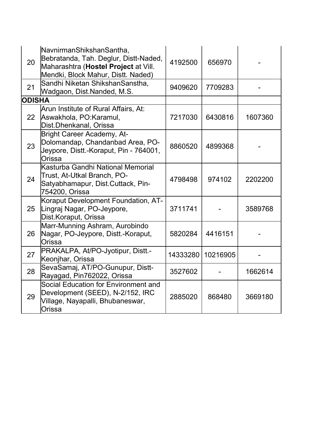| 20            | NavnirmanShikshanSantha,<br>Bebratanda, Tah. Deglur, Distt-Naded,<br>Maharashtra (Hostel Project at Vill.<br>Mendki, Block Mahur, Distt. Naded) | 4192500  | 656970   |         |
|---------------|-------------------------------------------------------------------------------------------------------------------------------------------------|----------|----------|---------|
| 21            | Sandhi Niketan ShikshanSanstha,<br>Wadgaon, Dist.Nanded, M.S.                                                                                   | 9409620  | 7709283  |         |
| <b>ODISHA</b> |                                                                                                                                                 |          |          |         |
| 22            | Arun Institute of Rural Affairs, At:<br>Aswakhola, PO:Karamul,<br>Dist.Dhenkanal, Orissa                                                        | 7217030  | 6430816  | 1607360 |
| 23            | Bright Career Academy, At-<br>Dolomandap, Chandanbad Area, PO-<br>Jeypore, Distt.-Koraput, Pin - 764001,<br>Orissa                              | 8860520  | 4899368  |         |
| 24            | Kasturba Gandhi National Memorial<br>Trust, At-Utkal Branch, PO-<br>Satyabhamapur, Dist.Cuttack, Pin-<br>754200, Orissa                         | 4798498  | 974102   | 2202200 |
| 25            | Koraput Development Foundation, AT-<br>Lingraj Nagar, PO-Jeypore,<br>Dist.Koraput, Orissa                                                       | 3711741  |          | 3589768 |
| 26            | Marr-Munning Ashram, Aurobindo<br>Nagar, PO-Jeypore, Distt.-Koraput,<br>Orissa                                                                  | 5820284  | 4416151  |         |
| 27            | PRAKALPA, At/PO-Jyotipur, Distt.-<br>Keonjhar, Orissa                                                                                           | 14333280 | 10216905 |         |
| 28            | SevaSamaj, AT/PO-Gunupur, Distt-<br>Rayagad, Pin762022, Orissa                                                                                  | 3527602  |          | 1662614 |
| 29            | Social Education for Environment and<br>Development (SEED), N-2/152, IRC<br>Village, Nayapalli, Bhubaneswar,<br>Orissa                          | 2885020  | 868480   | 3669180 |